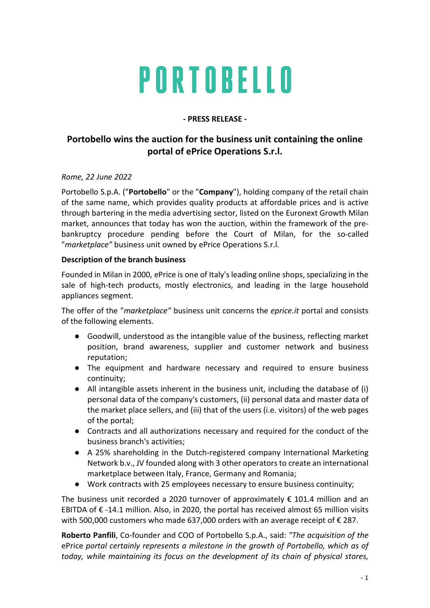# PORTOBELLO

### - PRESS RELEASE -

# Portobello wins the auction for the business unit containing the online portal of ePrice Operations S.r.l.

#### Rome, 22 June 2022

Portobello S.p.A. ("Portobello" or the "Company"), holding company of the retail chain of the same name, which provides quality products at affordable prices and is active through bartering in the media advertising sector, listed on the Euronext Growth Milan market, announces that today has won the auction, within the framework of the prebankruptcy procedure pending before the Court of Milan, for the so-called "marketplace" business unit owned by ePrice Operations S.r.l.

#### Description of the branch business

Founded in Milan in 2000, ePrice is one of Italy's leading online shops, specializing in the sale of high-tech products, mostly electronics, and leading in the large household appliances segment.

The offer of the "marketplace" business unit concerns the eprice.it portal and consists of the following elements.

- Goodwill, understood as the intangible value of the business, reflecting market position, brand awareness, supplier and customer network and business reputation;
- The equipment and hardware necessary and required to ensure business continuity;
- All intangible assets inherent in the business unit, including the database of (i) personal data of the company's customers, (ii) personal data and master data of the market place sellers, and (iii) that of the users (i.e. visitors) of the web pages of the portal;
- Contracts and all authorizations necessary and required for the conduct of the business branch's activities;
- A 25% shareholding in the Dutch-registered company International Marketing Network b.v., JV founded along with 3 other operators to create an international marketplace between Italy, France, Germany and Romania;
- Work contracts with 25 employees necessary to ensure business continuity;

The business unit recorded a 2020 turnover of approximately  $\epsilon$  101.4 million and an EBITDA of € -14.1 million. Also, in 2020, the portal has received almost 65 million visits with 500,000 customers who made 637,000 orders with an average receipt of  $\epsilon$  287.

Roberto Panfili, Co-founder and COO of Portobello S.p.A., said: "The acquisition of the ePrice portal certainly represents a milestone in the growth of Portobello, which as of today, while maintaining its focus on the development of its chain of physical stores,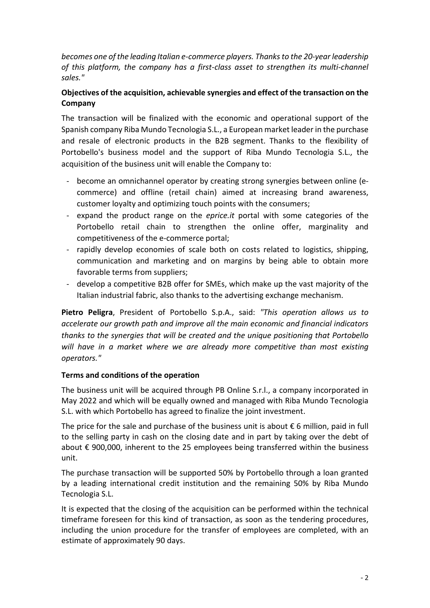becomes one of the leading Italian e-commerce players. Thanks to the 20-year leadership of this platform, the company has a first-class asset to strengthen its multi-channel sales."

# Objectives of the acquisition, achievable synergies and effect of the transaction on the Company

The transaction will be finalized with the economic and operational support of the Spanish company Riba Mundo Tecnologia S.L., a European market leader in the purchase and resale of electronic products in the B2B segment. Thanks to the flexibility of Portobello's business model and the support of Riba Mundo Tecnologia S.L., the acquisition of the business unit will enable the Company to:

- become an omnichannel operator by creating strong synergies between online (ecommerce) and offline (retail chain) aimed at increasing brand awareness, customer loyalty and optimizing touch points with the consumers;
- expand the product range on the *eprice.it* portal with some categories of the Portobello retail chain to strengthen the online offer, marginality and competitiveness of the e-commerce portal;
- rapidly develop economies of scale both on costs related to logistics, shipping, communication and marketing and on margins by being able to obtain more favorable terms from suppliers;
- develop a competitive B2B offer for SMEs, which make up the vast majority of the Italian industrial fabric, also thanks to the advertising exchange mechanism.

Pietro Peligra, President of Portobello S.p.A., said: "This operation allows us to accelerate our growth path and improve all the main economic and financial indicators thanks to the synergies that will be created and the unique positioning that Portobello will have in a market where we are already more competitive than most existing operators."

# Terms and conditions of the operation

The business unit will be acquired through PB Online S.r.l., a company incorporated in May 2022 and which will be equally owned and managed with Riba Mundo Tecnologia S.L. with which Portobello has agreed to finalize the joint investment.

The price for the sale and purchase of the business unit is about  $\epsilon$  6 million, paid in full to the selling party in cash on the closing date and in part by taking over the debt of about € 900,000, inherent to the 25 employees being transferred within the business unit.

The purchase transaction will be supported 50% by Portobello through a loan granted by a leading international credit institution and the remaining 50% by Riba Mundo Tecnologia S.L.

It is expected that the closing of the acquisition can be performed within the technical timeframe foreseen for this kind of transaction, as soon as the tendering procedures, including the union procedure for the transfer of employees are completed, with an estimate of approximately 90 days.